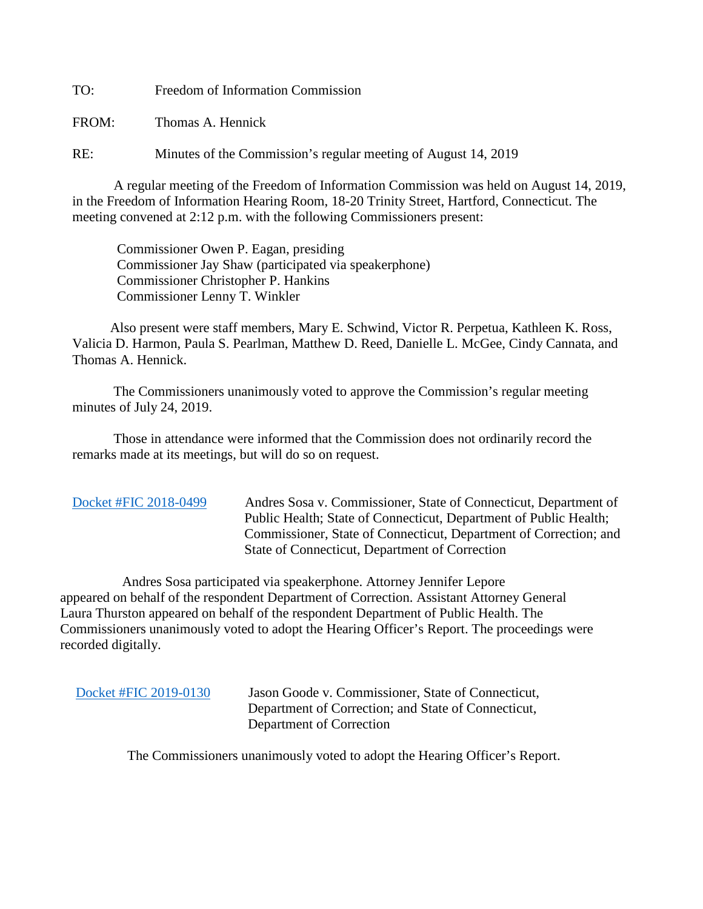TO: Freedom of Information Commission

FROM: Thomas A. Hennick

RE: Minutes of the Commission's regular meeting of August 14, 2019

A regular meeting of the Freedom of Information Commission was held on August 14, 2019, in the Freedom of Information Hearing Room, 18-20 Trinity Street, Hartford, Connecticut. The meeting convened at 2:12 p.m. with the following Commissioners present:

 Commissioner Owen P. Eagan, presiding Commissioner Jay Shaw (participated via speakerphone) Commissioner Christopher P. Hankins Commissioner Lenny T. Winkler

 Also present were staff members, Mary E. Schwind, Victor R. Perpetua, Kathleen K. Ross, Valicia D. Harmon, Paula S. Pearlman, Matthew D. Reed, Danielle L. McGee, Cindy Cannata, and Thomas A. Hennick.

The Commissioners unanimously voted to approve the Commission's regular meeting minutes of July 24, 2019.

 Those in attendance were informed that the Commission does not ordinarily record the remarks made at its meetings, but will do so on request.

[Docket #FIC 2018-0499](https://portal.ct.gov/-/media/FOI/Minutes/2019/Aug14/2018-0499) Andres Sosa v. Commissioner, State of Connecticut, Department of Public Health; State of Connecticut, Department of Public Health; Commissioner, State of Connecticut, Department of Correction; and State of Connecticut, Department of Correction

 Andres Sosa participated via speakerphone. Attorney Jennifer Lepore appeared on behalf of the respondent Department of Correction. Assistant Attorney General Laura Thurston appeared on behalf of the respondent Department of Public Health. The Commissioners unanimously voted to adopt the Hearing Officer's Report. The proceedings were recorded digitally.

 [Docket #FIC 2019-0130](https://portal.ct.gov/-/media/FOI/Minutes/2019/Aug14/2019-0130) Jason Goode v. Commissioner, State of Connecticut, Department of Correction; and State of Connecticut, Department of Correction

The Commissioners unanimously voted to adopt the Hearing Officer's Report.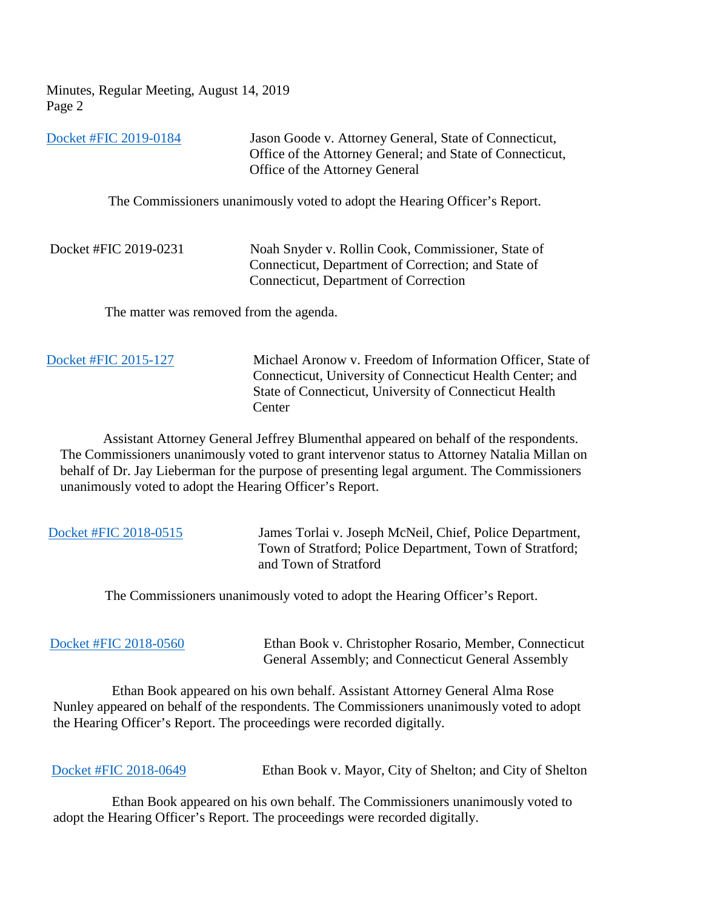Minutes, Regular Meeting, August 14, 2019 Page 2

[Docket #FIC 2019-0184](https://portal.ct.gov/-/media/FOI/Minutes/2019/Aug14/2019-0184) Jason Goode v. Attorney General, State of Connecticut, Office of the Attorney General; and State of Connecticut, Office of the Attorney General

The Commissioners unanimously voted to adopt the Hearing Officer's Report.

| Docket #FIC 2019-0231 | Noah Snyder v. Rollin Cook, Commissioner, State of  |
|-----------------------|-----------------------------------------------------|
|                       | Connecticut, Department of Correction; and State of |
|                       | Connecticut, Department of Correction               |

The matter was removed from the agenda.

 [Docket #FIC 2015-127](https://portal.ct.gov/-/media/FOI/Minutes/2019/Aug14/2015-127) Michael Aronow v. Freedom of Information Officer, State of Connecticut, University of Connecticut Health Center; and State of Connecticut, University of Connecticut Health **Center** 

 Assistant Attorney General Jeffrey Blumenthal appeared on behalf of the respondents. The Commissioners unanimously voted to grant intervenor status to Attorney Natalia Millan on behalf of Dr. Jay Lieberman for the purpose of presenting legal argument. The Commissioners unanimously voted to adopt the Hearing Officer's Report.

| Docket #FIC 2018-0515 | James Torlai v. Joseph McNeil, Chief, Police Department,<br>Town of Stratford; Police Department, Town of Stratford;<br>and Town of Stratford                                                                                                       |
|-----------------------|-----------------------------------------------------------------------------------------------------------------------------------------------------------------------------------------------------------------------------------------------------|
|                       | The Commissioners unanimously voted to adopt the Hearing Officer's Report.                                                                                                                                                                          |
| Docket #FIC 2018-0560 | Ethan Book v. Christopher Rosario, Member, Connecticut<br>General Assembly; and Connecticut General Assembly                                                                                                                                        |
|                       | Ethan Book appeared on his own behalf. Assistant Attorney General Alma Rose<br>Nunley appeared on behalf of the respondents. The Commissioners unanimously voted to adopt<br>the Hearing Officer's Report. The proceedings were recorded digitally. |

[Docket #FIC 2018-0649](https://portal.ct.gov/-/media/FOI/Minutes/2019/Aug14/2018-0649) Ethan Book v. Mayor, City of Shelton; and City of Shelton

 Ethan Book appeared on his own behalf. The Commissioners unanimously voted to adopt the Hearing Officer's Report. The proceedings were recorded digitally.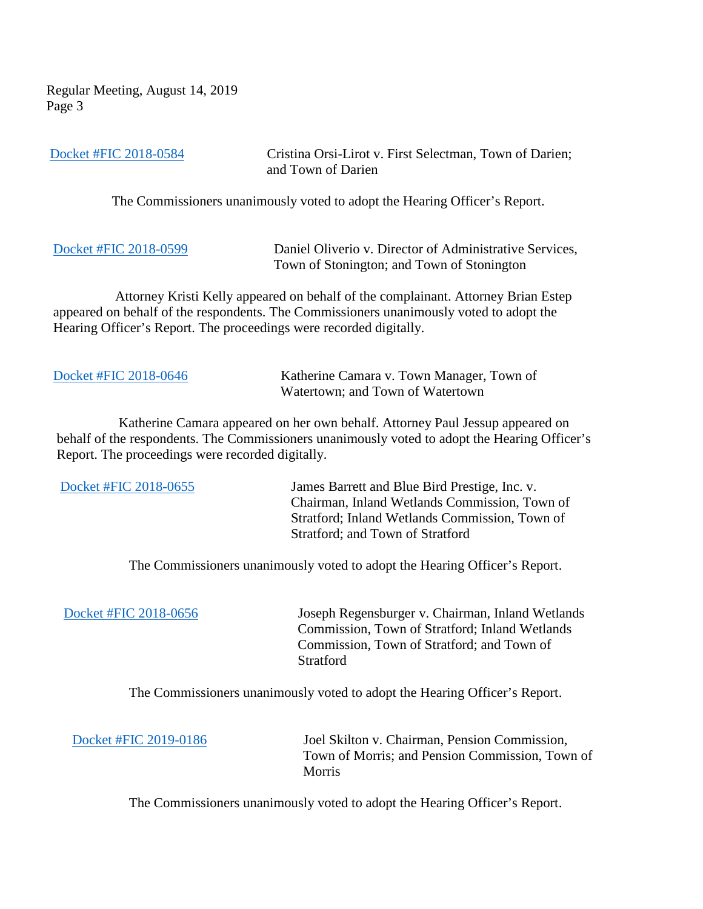Regular Meeting, August 14, 2019 Page 3

| Docket #FIC 2018-0584                            | Cristina Orsi-Lirot v. First Selectman, Town of Darien;<br>and Town of Darien                                                                                                                                                                      |
|--------------------------------------------------|----------------------------------------------------------------------------------------------------------------------------------------------------------------------------------------------------------------------------------------------------|
|                                                  | The Commissioners unanimously voted to adopt the Hearing Officer's Report.                                                                                                                                                                         |
| Docket #FIC 2018-0599                            | Daniel Oliverio v. Director of Administrative Services,<br>Town of Stonington; and Town of Stonington                                                                                                                                              |
|                                                  | Attorney Kristi Kelly appeared on behalf of the complainant. Attorney Brian Estep<br>appeared on behalf of the respondents. The Commissioners unanimously voted to adopt the<br>Hearing Officer's Report. The proceedings were recorded digitally. |
| Docket #FIC 2018-0646                            | Katherine Camara v. Town Manager, Town of<br>Watertown; and Town of Watertown                                                                                                                                                                      |
| Report. The proceedings were recorded digitally. | Katherine Camara appeared on her own behalf. Attorney Paul Jessup appeared on<br>behalf of the respondents. The Commissioners unanimously voted to adopt the Hearing Officer's                                                                     |
| Docket #FIC 2018-0655                            | James Barrett and Blue Bird Prestige, Inc. v.<br>Chairman, Inland Wetlands Commission, Town of<br>Stratford; Inland Wetlands Commission, Town of<br>Stratford; and Town of Stratford                                                               |
|                                                  | The Commissioners unanimously voted to adopt the Hearing Officer's Report.                                                                                                                                                                         |
| Docket #FIC 2018-0656                            | Joseph Regensburger v. Chairman, Inland Wetlands<br>Commission, Town of Stratford; Inland Wetlands<br>Commission, Town of Stratford; and Town of<br>Stratford                                                                                      |
|                                                  | The Commissioners unanimously voted to adopt the Hearing Officer's Report.                                                                                                                                                                         |
| Docket #FIC 2019-0186                            | Joel Skilton v. Chairman, Pension Commission,<br>Town of Morris; and Pension Commission, Town of<br>Morris                                                                                                                                         |

The Commissioners unanimously voted to adopt the Hearing Officer's Report.